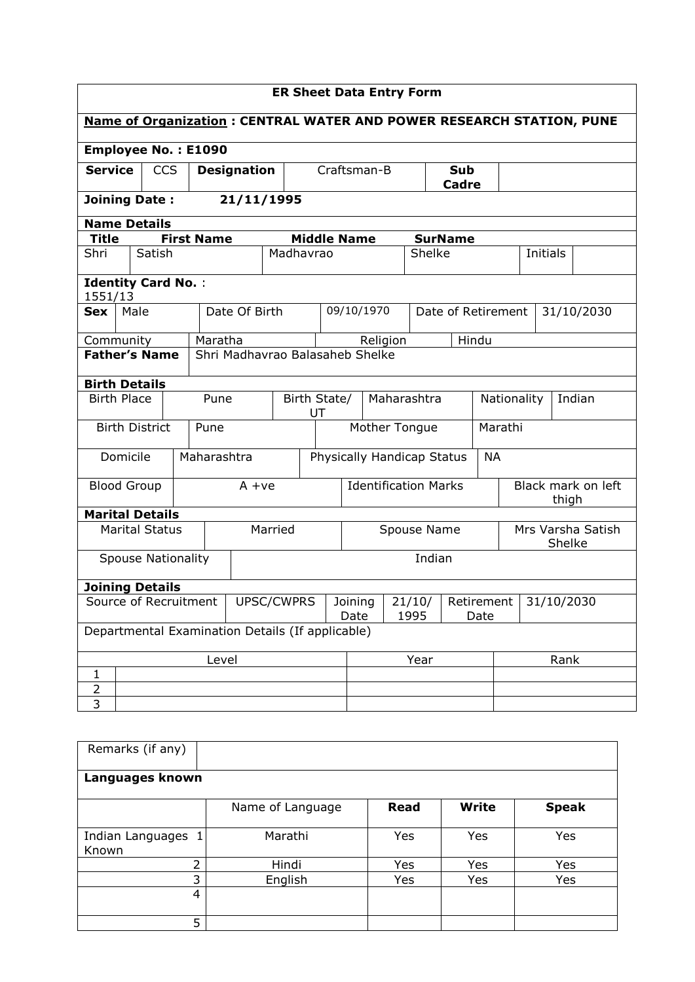| <b>ER Sheet Data Entry Form</b>                                             |                                                         |                           |  |                      |                                                  |           |                 |                    |                                      |          |              |                             |                             |  |          |            |
|-----------------------------------------------------------------------------|---------------------------------------------------------|---------------------------|--|----------------------|--------------------------------------------------|-----------|-----------------|--------------------|--------------------------------------|----------|--------------|-----------------------------|-----------------------------|--|----------|------------|
| <b>Name of Organization: CENTRAL WATER AND POWER RESEARCH STATION, PUNE</b> |                                                         |                           |  |                      |                                                  |           |                 |                    |                                      |          |              |                             |                             |  |          |            |
| <b>Employee No.: E1090</b>                                                  |                                                         |                           |  |                      |                                                  |           |                 |                    |                                      |          |              |                             |                             |  |          |            |
| <b>Service</b><br><b>CCS</b>                                                |                                                         |                           |  | <b>Designation</b>   |                                                  |           | Craftsman-B     |                    |                                      |          | Sub<br>Cadre |                             |                             |  |          |            |
| <b>Joining Date:</b>                                                        |                                                         |                           |  |                      | 21/11/1995                                       |           |                 |                    |                                      |          |              |                             |                             |  |          |            |
| <b>Name Details</b>                                                         |                                                         |                           |  |                      |                                                  |           |                 |                    |                                      |          |              |                             |                             |  |          |            |
| Title                                                                       |                                                         |                           |  | <b>First Name</b>    |                                                  |           |                 | <b>Middle Name</b> |                                      |          |              | <b>SurName</b>              |                             |  |          |            |
| Shri                                                                        |                                                         | Satish                    |  |                      |                                                  | Madhavrao |                 |                    |                                      |          | Shelke       |                             |                             |  | Initials |            |
| <b>Identity Card No.:</b><br>1551/13                                        |                                                         |                           |  |                      |                                                  |           |                 |                    |                                      |          |              |                             |                             |  |          |            |
| <b>Sex</b>                                                                  | Male                                                    |                           |  |                      | Date Of Birth                                    |           |                 |                    | 09/10/1970                           |          |              | Date of Retirement          |                             |  |          | 31/10/2030 |
| Community                                                                   |                                                         |                           |  | Maratha              |                                                  |           |                 |                    |                                      | Religion |              |                             | Hindu                       |  |          |            |
|                                                                             | <b>Father's Name</b><br>Shri Madhavrao Balasaheb Shelke |                           |  |                      |                                                  |           |                 |                    |                                      |          |              |                             |                             |  |          |            |
| <b>Birth Details</b>                                                        |                                                         |                           |  |                      |                                                  |           |                 |                    |                                      |          |              |                             |                             |  |          |            |
| <b>Birth Place</b>                                                          |                                                         |                           |  | Pune<br>Birth State/ |                                                  |           | UT              | Maharashtra        |                                      |          |              | Nationality                 |                             |  | Indian   |            |
|                                                                             |                                                         | <b>Birth District</b>     |  | Pune                 |                                                  |           |                 |                    | Mother Tongue                        |          |              | Marathi                     |                             |  |          |            |
|                                                                             | Domicile                                                |                           |  |                      | Maharashtra                                      |           |                 |                    | Physically Handicap Status           |          |              | <b>NA</b>                   |                             |  |          |            |
| <b>Blood Group</b>                                                          |                                                         |                           |  | $A + ve$             |                                                  |           |                 |                    | <b>Identification Marks</b>          |          |              |                             | Black mark on left<br>thigh |  |          |            |
| <b>Marital Details</b>                                                      |                                                         |                           |  |                      |                                                  |           |                 |                    |                                      |          |              |                             |                             |  |          |            |
|                                                                             |                                                         | <b>Marital Status</b>     |  | Married              |                                                  |           |                 | Spouse Name        |                                      |          |              | Mrs Varsha Satish<br>Shelke |                             |  |          |            |
|                                                                             |                                                         | <b>Spouse Nationality</b> |  |                      |                                                  |           |                 |                    | Indian                               |          |              |                             |                             |  |          |            |
| <b>Joining Details</b>                                                      |                                                         |                           |  |                      |                                                  |           |                 |                    |                                      |          |              |                             |                             |  |          |            |
| Source of Recruitment<br>UPSC/CWPRS                                         |                                                         |                           |  |                      |                                                  |           | Joining<br>Date |                    | 21/10/<br>Retirement<br>1995<br>Date |          | 31/10/2030   |                             |                             |  |          |            |
|                                                                             |                                                         |                           |  |                      | Departmental Examination Details (If applicable) |           |                 |                    |                                      |          |              |                             |                             |  |          |            |
| Level                                                                       |                                                         |                           |  |                      | Year                                             |           |                 |                    | Rank                                 |          |              |                             |                             |  |          |            |
| 1                                                                           |                                                         |                           |  |                      |                                                  |           |                 |                    |                                      |          |              |                             |                             |  |          |            |
| $\overline{2}$                                                              |                                                         |                           |  |                      |                                                  |           |                 |                    |                                      |          |              |                             |                             |  |          |            |
| 3                                                                           |                                                         |                           |  |                      |                                                  |           |                 |                    |                                      |          |              |                             |                             |  |          |            |

| Remarks (if any)            |                  |      |              |              |  |  |  |  |  |  |  |
|-----------------------------|------------------|------|--------------|--------------|--|--|--|--|--|--|--|
| Languages known             |                  |      |              |              |  |  |  |  |  |  |  |
|                             | Name of Language | Read | <b>Write</b> | <b>Speak</b> |  |  |  |  |  |  |  |
| Indian Languages 1<br>Known | Marathi          | Yes  | Yes          | Yes          |  |  |  |  |  |  |  |
| 2                           | Hindi            | Yes  | Yes          | Yes          |  |  |  |  |  |  |  |
| 3                           | English          | Yes  | Yes          | Yes          |  |  |  |  |  |  |  |
| 4                           |                  |      |              |              |  |  |  |  |  |  |  |
| 5                           |                  |      |              |              |  |  |  |  |  |  |  |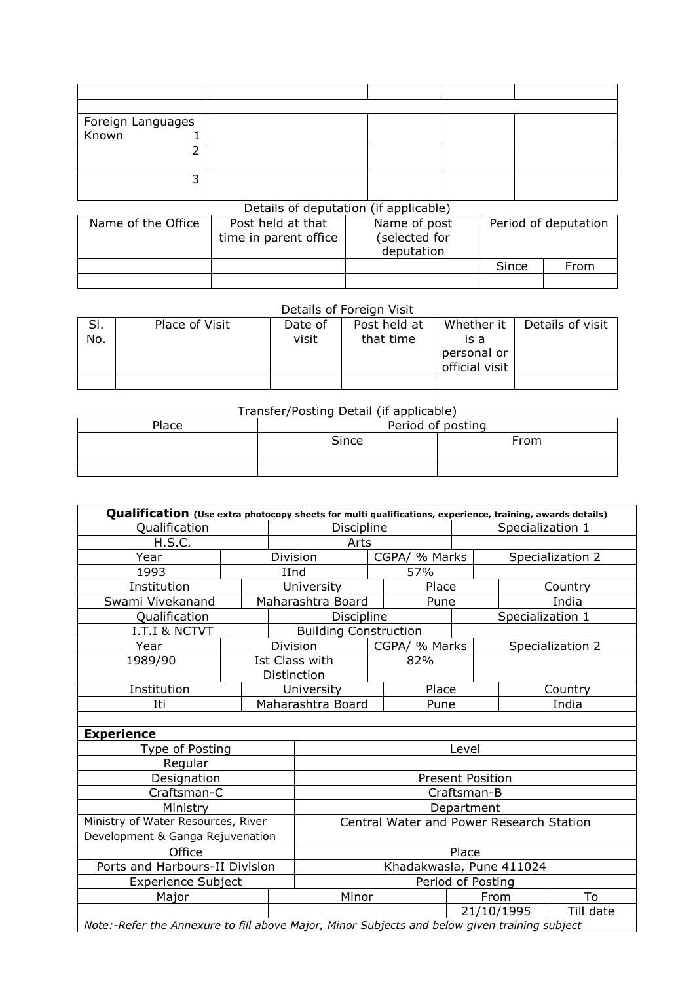| Foreign Languages  |                                       |               |       |                      |
|--------------------|---------------------------------------|---------------|-------|----------------------|
| Known              |                                       |               |       |                      |
| 2                  |                                       |               |       |                      |
|                    |                                       |               |       |                      |
| 3                  |                                       |               |       |                      |
|                    |                                       |               |       |                      |
|                    | Details of deputation (if applicable) |               |       |                      |
| Name of the Office | Post held at that                     | Name of post  |       | Period of deputation |
|                    | time in parent office                 | (selected for |       |                      |
|                    |                                       | deputation    |       |                      |
|                    |                                       |               | Since | From                 |
|                    |                                       |               |       |                      |

| Details of Foreign Visit |                |         |              |                |                  |  |  |  |  |  |  |
|--------------------------|----------------|---------|--------------|----------------|------------------|--|--|--|--|--|--|
| SI.                      | Place of Visit | Date of | Post held at | Whether it     | Details of visit |  |  |  |  |  |  |
| No.                      |                | visit   | that time    | is a           |                  |  |  |  |  |  |  |
|                          |                |         |              | personal or    |                  |  |  |  |  |  |  |
|                          |                |         |              | official visit |                  |  |  |  |  |  |  |
|                          |                |         |              |                |                  |  |  |  |  |  |  |

## Transfer/Posting Detail (if applicable)

| Place | Period of posting |      |  |  |  |  |
|-------|-------------------|------|--|--|--|--|
|       | Since             | From |  |  |  |  |
|       |                   |      |  |  |  |  |

| Qualification (Use extra photocopy sheets for multi qualifications, experience, training, awards details) |                          |      |                                          |                     |                  |                         |                  |                  |  |  |
|-----------------------------------------------------------------------------------------------------------|--------------------------|------|------------------------------------------|---------------------|------------------|-------------------------|------------------|------------------|--|--|
| Qualification                                                                                             | Discipline               |      |                                          |                     | Specialization 1 |                         |                  |                  |  |  |
| H.S.C.                                                                                                    |                          | Arts |                                          |                     |                  |                         |                  |                  |  |  |
| Year                                                                                                      |                          |      | Division<br>CGPA/ % Marks                |                     |                  |                         | Specialization 2 |                  |  |  |
| 1993                                                                                                      |                          | IInd |                                          |                     | 57%              |                         |                  |                  |  |  |
| Institution                                                                                               |                          |      | University                               |                     | Place            |                         | Country          |                  |  |  |
| Swami Vivekanand                                                                                          |                          |      | Maharashtra Board                        |                     | Pune             |                         | India            |                  |  |  |
| Qualification                                                                                             |                          |      | Discipline                               |                     |                  |                         | Specialization 1 |                  |  |  |
| <b>I.T.I &amp; NCTVT</b>                                                                                  |                          |      | <b>Building Construction</b>             |                     |                  |                         |                  |                  |  |  |
| Year                                                                                                      |                          |      | Division                                 |                     | CGPA/ % Marks    |                         |                  | Specialization 2 |  |  |
| 1989/90                                                                                                   |                          |      | Ist Class with                           |                     | 82%              |                         |                  |                  |  |  |
|                                                                                                           |                          |      | Distinction                              |                     |                  |                         |                  |                  |  |  |
| Institution                                                                                               |                          |      |                                          | Place<br>University |                  |                         | Country          |                  |  |  |
| Iti                                                                                                       |                          |      | Maharashtra Board                        | Pune                |                  |                         | India            |                  |  |  |
|                                                                                                           |                          |      |                                          |                     |                  |                         |                  |                  |  |  |
| <b>Experience</b>                                                                                         |                          |      |                                          |                     |                  |                         |                  |                  |  |  |
| Type of Posting                                                                                           |                          |      | Level                                    |                     |                  |                         |                  |                  |  |  |
| Regular                                                                                                   |                          |      |                                          |                     |                  |                         |                  |                  |  |  |
| Designation                                                                                               |                          |      |                                          |                     |                  | <b>Present Position</b> |                  |                  |  |  |
| Craftsman-C                                                                                               |                          |      |                                          |                     |                  | Craftsman-B             |                  |                  |  |  |
| Ministry                                                                                                  |                          |      | Department                               |                     |                  |                         |                  |                  |  |  |
| Ministry of Water Resources, River                                                                        |                          |      | Central Water and Power Research Station |                     |                  |                         |                  |                  |  |  |
| Development & Ganga Rejuvenation                                                                          |                          |      |                                          |                     |                  |                         |                  |                  |  |  |
| Office                                                                                                    |                          |      | Place                                    |                     |                  |                         |                  |                  |  |  |
| Ports and Harbours-II Division                                                                            | Khadakwasla, Pune 411024 |      |                                          |                     |                  |                         |                  |                  |  |  |
| <b>Experience Subject</b>                                                                                 |                          |      |                                          |                     |                  | Period of Posting       |                  |                  |  |  |
| Major                                                                                                     |                          |      | Minor                                    |                     |                  | From                    |                  | To               |  |  |
|                                                                                                           |                          |      |                                          |                     |                  | 21/10/1995              |                  | Till date        |  |  |
| Note:-Refer the Annexure to fill above Major, Minor Subjects and below given training subject             |                          |      |                                          |                     |                  |                         |                  |                  |  |  |